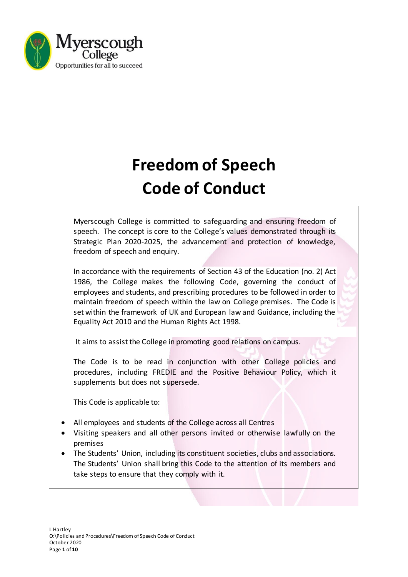

# **Freedom of Speech Code of Conduct**

Myerscough College is committed to safeguarding and ensuring freedom of speech. The concept is core to the College's values demonstrated through its Strategic Plan 2020-2025, the advancement and protection of knowledge, freedom of speech and enquiry.

In accordance with the requirements of Section 43 of the Education (no. 2) Act 1986, the College makes the following Code, governing the conduct of employees and students, and prescribing procedures to be followed in order to maintain freedom of speech within the law on College premises. The Code is set within the framework of UK and European law and Guidance, including the Equality Act 2010 and the Human Rights Act 1998.

It aims to assist the College in promoting good relations on campus.

The Code is to be read in conjunction with other College policies and procedures, including FREDIE and the Positive Behaviour Policy, which it supplements but does not supersede.

This Code is applicable to:

- All employees and students of the College across all Centres
- Visiting speakers and all other persons invited or otherwise lawfully on the premises
- The Students' Union, including its constituent societies, clubs and associations. The Students' Union shall bring this Code to the attention of its members and take steps to ensure that they comply with it.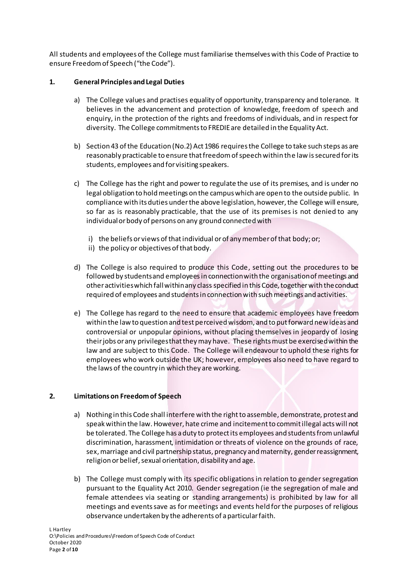All students and employees of the College must familiarise themselves with this Code of Practice to ensure Freedom of Speech ("the Code").

# **1. General Principles and Legal Duties**

- a) The College values and practises equality of opportunity, transparency and tolerance. It believes in the advancement and protection of knowledge, freedom of speech and enquiry, in the protection of the rights and freedoms of individuals, and in respect for diversity. The College commitments to FREDIE are detailed in the Equality Act.
- b) Section 43 of the Education (No.2) Act 1986 requires the College to take such steps as are reasonably practicable to ensure that freedom of speech within the law is secured for its students, employees and for visiting speakers.
- c) The College has the right and power to regulate the use of its premises, and is under no legal obligation to hold meetings on the campus which are open to the outside public. In compliance with its duties under the above legislation, however, the College will ensure, so far as is reasonably practicable, that the use of its premises is not denied to any individual or body of persons on any ground connected with
	- i) the beliefs or views of that individual or of any member of that body; or;
	- ii) the policy or objectives of that body.
- d) The College is also required to produce this Code, setting out the procedures to be followed by students and employeesin connection with the organisation of meetings and other activities which fall within any class specified in this Code, together with the conduct required of employees and students in connection with such meetings and activities.
- e) The College has regard to the need to ensure that academic employees have freedom within the law to question and test perceived wisdom, and to put forward new ideas and controversial or unpopular opinions, without placing themselves in jeopardy of losing their jobs or any privileges that they may have. These rights must be exercised within the law and are subject to this Code. The College will endeavour to uphold these rights for employees who work outside the UK; however, employees also need to have regard to the laws of the country in which they are working.

#### **2. Limitations on Freedom of Speech**

- a) Nothing in this Code shall interfere with the right to assemble, demonstrate, protest and speak within the law. However, hate crime and incitement to commit illegal acts will not be tolerated. The College has a duty to protect its employees and students from unlawful discrimination, harassment, intimidation or threats of violence on the grounds of race, sex, marriage and civil partnership status, pregnancy and maternity, gender reassignment, religion or belief, sexual orientation, disability and age.
- b) The College must comply with its specific obligations in relation to gender segregation pursuant to the Equality Act 2010. Gender segregation (ie the segregation of male and female attendees via seating or standing arrangements) is prohibited by law for all meetings and events save as for meetings and events held for the purposes of religious observance undertaken by the adherents of a particular faith.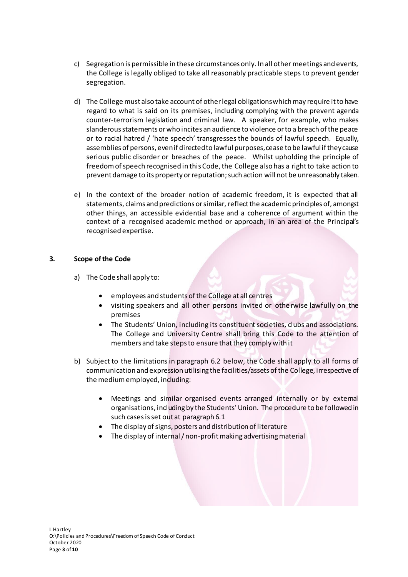- c) Segregation is permissible in these circumstances only. In all other meetings and events, the College is legally obliged to take all reasonably practicable steps to prevent gender segregation.
- d) The College must also take account of other legal obligations which may require it to have regard to what is said on its premises, including complying with the prevent agenda counter-terrorism legislation and criminal law. A speaker, for example, who makes slanderous statements or who incites an audience to violence or to a breach of the peace or to racial hatred / 'hate speech' transgresses the bounds of lawful speech. Equally, assemblies of persons, even if directed to lawful purposes, cease to be lawful if they cause serious public disorder or breaches of the peace. Whilst upholding the principle of freedom of speech recognised in this Code, the College also has a right to take action to prevent damage to its property or reputation; such action will not be unreasonably taken.
- e) In the context of the broader notion of academic freedom, it is expected that all statements, claims and predictions or similar, reflect the academic principles of, amongst other things, an accessible evidential base and a coherence of argument within the context of a recognised academic method or approach, in an area of the Principal's recognised expertise.

#### **3. Scope of the Code**

- a) The Code shall apply to:
	- employees and students of the College at all centres
	- visiting speakers and all other persons invited or otherwise lawfully on the premises
	- The Students' Union, including its constituent societies, clubs and associations. The College and University Centre shall bring this Code to the attention of members and take steps to ensure that they comply with it
- b) Subject to the limitations in paragraph 6.2 below, the Code shall apply to all forms of communication and expression utilising the facilities/assets of the College, irrespective of the medium employed, including:
	- Meetings and similar organised events arranged internally or by external organisations, including by the Students' Union. The procedure to be followed in such casesis set out at paragraph 6.1
	- The display of signs, posters and distribution of literature
	- The display of internal / non-profit making advertising material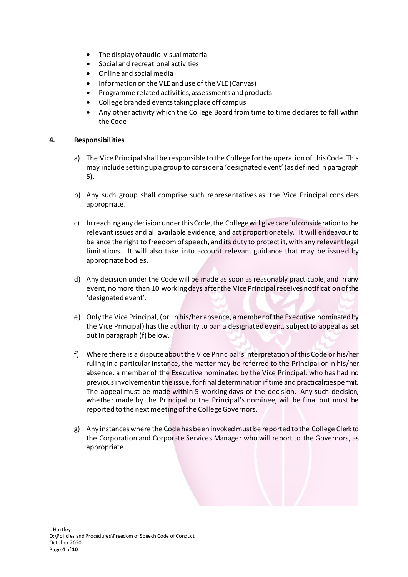- The display of audio-visual material
- Social and recreational activities
- Online and social media
- Information on the VLE and use of the VLE (Canvas)
- Programme related activities, assessments and products
- College branded events taking place off campus
- Any other activity which the College Board from time to time declares to fall within the Code

#### **4. Responsibilities**

- a) The Vice Principal shall be responsible to the College for the operation of this Code. This may include setting up a group to consider a 'designated event' (as defined in paragraph 5).
- b) Any such group shall comprise such representatives as the Vice Principal considers appropriate.
- c) In reaching any decision under this Code, the Collegewill give careful consideration to the relevant issues and all available evidence, and act proportionately. It will endeavour to balance the right to freedom of speech, and its duty to protect it, with any relevant legal limitations. It will also take into account relevant guidance that may be issued by appropriate bodies.
- d) Any decision under the Code will be made as soon as reasonably practicable, and in any event, no more than 10 working days after the Vice Principal receives notification of the 'designated event'.
- e) Only the Vice Principal, (or, in his/her absence, a member of the Executive nominated by the Vice Principal) has the authority to ban a designated event, subject to appeal as set out in paragraph (f) below.
- f) Where there is a dispute about the Vice Principal'sinterpretation of this Code or his/her ruling in a particular instance, the matter may be referred to the Principal or in his/her absence, a member of the Executive nominated by the Vice Principal, who has had no previous involvement in the issue,for final determination if time and practicalities permit. The appeal must be made within 5 working days of the decision. Any such decision, whether made by the Principal or the Principal's nominee, will be final but must be reported to the next meeting of the College Governors.
- g) Any instances where the Code has been invoked must be reported to the College Clerk to the Corporation and Corporate Services Manager who will report to the Governors, as appropriate.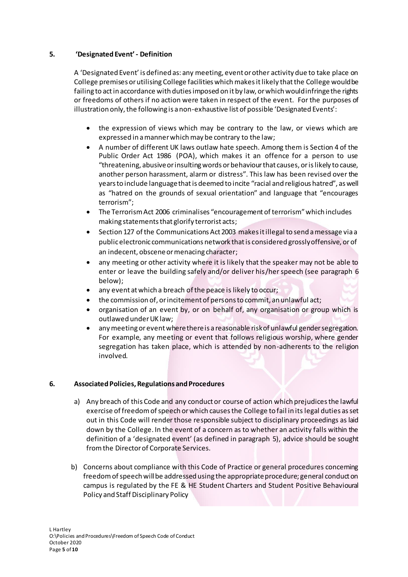## **5. 'Designated Event' - Definition**

A 'Designated Event' is defined as: any meeting, event or other activity due to take place on College premises or utilising College facilities which makes it likely that the College would be failing to act in accordance with duties imposed on it by law, or which would infringe the rights or freedoms of others if no action were taken in respect of the event. For the purposes of illustration only, the following is a non-exhaustive list of possible 'Designated Events':

- the expression of views which may be contrary to the law, or views which are expressed in a manner which may be contrary to the law;
- A number of different UK laws outlaw hate speech. Among them is Section 4 of the Public Order Act 1986 (POA), which makes it an offence for a person to use "threatening, abusive or insulting words or behaviour that causes, or is likely to cause, another person harassment, alarm or distress". This law has been revised over the years to include language that is deemed to incite "racial and religious hatred", as well as "hatred on the grounds of sexual orientation" and language that "encourages terrorism";
- The Terrorism Act 2006 criminalises "encouragement of terrorism" which includes making statements that glorify terrorist acts;
- Section 127 of the Communications Act 2003 makes it illegal to send a message via a public electronic communications network that is considered grossly offensive, or of an indecent, obscene or menacing character;
- any meeting or other activity where it is likely that the speaker may not be able to enter or leave the building safely and/or deliver his/her speech (see paragraph 6 below);
- any event at which a breach of the peace is likely to occur;
- the commission of, or incitement of persons to commit, an unlawful act;
- organisation of an event by, or on behalf of, any organisation or group which is outlawed under UK law;
- any meeting or event where there is a reasonable risk of unlawful gender segregation. For example, any meeting or event that follows religious worship, where gender segregation has taken place, which is attended by non-adherents to the religion involved.

#### **6. Associated Policies, Regulations and Procedures**

- a) Any breach of this Code and any conduct or course of action which prejudices the lawful exercise of freedom of speech or which causes the College to fail in its legal duties as set out in this Code will render those responsible subject to disciplinary proceedings as laid down by the College. In the event of a concern as to whether an activity falls within the definition of a 'designated event' (as defined in paragraph 5), advice should be sought from the Director of Corporate Services.
- b) Concerns about compliance with this Code of Practice or general procedures concerning freedom of speech will be addressed using the appropriate procedure; general conduct on campus is regulated by the FE & HE Student Charters and Student Positive Behavioural Policy and Staff Disciplinary Policy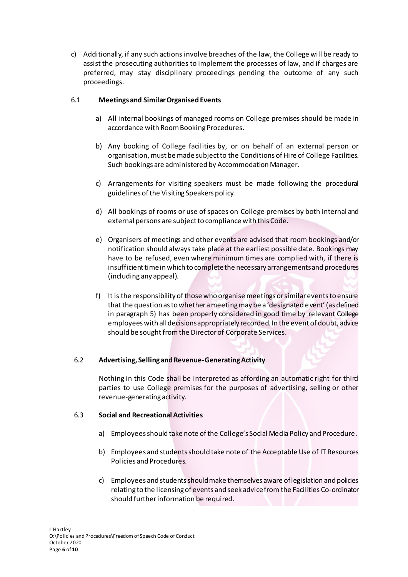c) Additionally, if any such actions involve breaches of the law, the College will be ready to assist the prosecuting authorities to implement the processes of law, and if charges are preferred, may stay disciplinary proceedings pending the outcome of any such proceedings.

# 6.1 **Meetings and Similar Organised Events**

- a) All internal bookings of managed rooms on College premises should be made in accordance with Room Booking Procedures.
- b) Any booking of College facilities by, or on behalf of an external person or organisation,must be made subject to the Conditions of Hire of College Facilities. Such bookings are administered by Accommodation Manager.
- c) Arrangements for visiting speakers must be made following the procedural guidelines of the Visiting Speakers policy.
- d) All bookings of rooms or use of spaces on College premises by both internal and external persons are subject to compliance with this Code.
- e) Organisers of meetings and other events are advised that room bookings and/or notification should always take place at the earliest possible date. Bookings may have to be refused, even where minimum times are complied with, if there is insufficient time in which to complete the necessary arrangements and procedures (including any appeal).
- f) It is the responsibility of those who organise meetings or similar events to ensure that the question as to whether a meeting may be a 'designated event' (as defined in paragraph 5) has been properly considered in good time by relevant College employees with all decisions appropriately recorded. In the event of doubt, advice should be sought from the Director of Corporate Services.

#### 6.2 **Advertising, Selling and Revenue-Generating Activity**

Nothing in this Code shall be interpreted as affording an automatic right for third parties to use College premises for the purposes of advertising, selling or other revenue-generating activity.

#### 6.3 **Social and Recreational Activities**

- a) Employees should take note of the College's Social Media Policy and Procedure.
- b) Employees and students should take note of the Acceptable Use of IT Resources Policies and Procedures.
- c) Employees and students should make themselves aware of legislation and policies relating to the licensing of events and seek advice from the Facilities Co-ordinator should further information be required.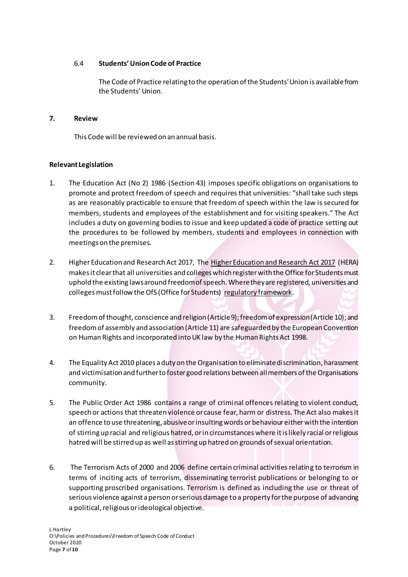## 6.4 **Students' Union Code of Practice**

The Code of Practice relating to the operation of the Students' Union is available from the Students' Union.

#### **7. Review**

This Code will be reviewed on an annual basis.

#### **Relevant Legislation**

- 1. The Education Act (No 2) 1986 (Section 43) imposes specific obligations on organisations to promote and protect freedom of speech and requires that universities: "shall take such steps as are reasonably practicable to ensure that freedom of speech within the law is secured for members, students and employees of the establishment and for visiting speakers." The Act includes a duty on governing bodies to issue and keep updated a code of practice setting out the procedures to be followed by members, students and employees in connection with meetings on the premises.
- 2. Higher Education and Research Act 2017, The [Higher Education and Research Act 2017](http://www.legislation.gov.uk/ukpga/2017/29/contents/enacted) (HERA) makes it clear that all universities and colleges which register with the Office for Students must uphold the existing laws around freedom of speech. Where they are registered, universities and colleges must follow the OfS (Office for Students) [regulatory framework](https://officeforstudents.org.uk/advice-and-guidance/regulation/the-regulatory-framework-for-higher-education-in-england/).
- 3. Freedom of thought, conscience and religion (Article 9); freedom of expression (Article 10); and freedom of assembly and association (Article 11) are safeguarded by the European Convention on Human Rights and incorporated into UK law by the Human Rights Act 1998.
- 4. The Equality Act 2010 places a duty on the Organisation to eliminate discrimination, harassment and victimisation and further to foster good relations between all members of the Organisations community.
- 5. The Public Order Act 1986 contains a range of criminal offences relating to violent conduct, speech or actions that threaten violence or cause fear, harm or distress. The Act also makes it an offence to use threatening, abusive or insulting words or behaviour either with the intention of stirring up racial and religious hatred, or in circumstances where it is likely racial or religious hatred will be stirred up as well as stirring up hatred on grounds of sexual orientation.
- 6. The Terrorism Acts of 2000 and 2006 define certain criminal activities relating to terrorism in terms of inciting acts of terrorism, disseminating terrorist publications or belonging to or supporting proscribed organisations. Terrorism is defined as including the use or threat of serious violence against a person or serious damage to a property for the purpose of advancing a political, religious or ideological objective.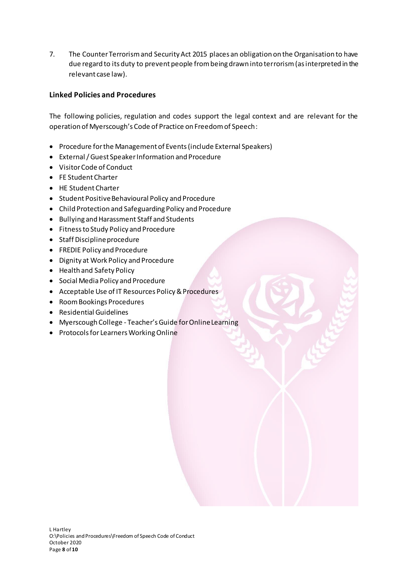7. The Counter Terrorism and Security Act 2015 places an obligation on the Organisation to have due regard to its duty to prevent people from being drawn into terrorism (as interpreted in the relevant case law).

# **Linked Policies and Procedures**

The following policies, regulation and codes support the legal context and are relevant for the operation of Myerscough's Code of Practice on Freedom of Speech:

- Procedure for the Management of Events (include External Speakers)
- External / Guest Speaker Information and Procedure
- Visitor Code of Conduct
- FE Student Charter
- HE Student Charter
- Student Positive Behavioural Policy and Procedure
- Child Protection and Safeguarding Policy and Procedure
- Bullying and Harassment Staff and Students
- Fitness to Study Policy and Procedure
- Staff Discipline procedure
- FREDIE Policy and Procedure
- Dignity at Work Policy and Procedure
- Health and Safety Policy
- Social Media Policy and Procedure
- Acceptable Use of IT Resources Policy & Procedures
- Room Bookings Procedures
- Residential Guidelines
- Myerscough College Teacher's Guide for Online Learning
- Protocols for Learners Working Online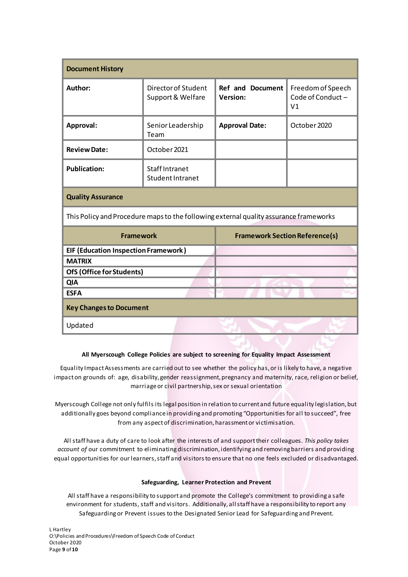| <b>Document History</b>                                                               |                                                  |                                            |                                                          |
|---------------------------------------------------------------------------------------|--------------------------------------------------|--------------------------------------------|----------------------------------------------------------|
| Author:                                                                               | Director of Student<br>Support & Welfare         | <b>Ref and Document</b><br><b>Version:</b> | Freedom of Speech<br>Code of Conduct -<br>V <sub>1</sub> |
| Approval:                                                                             | Senior Leadership<br>Team                        | <b>Approval Date:</b>                      | October 2020                                             |
| <b>Review Date:</b>                                                                   | October 2021                                     |                                            |                                                          |
| <b>Publication:</b>                                                                   | <b>Staff Intranet</b><br><b>Student Intranet</b> |                                            |                                                          |
| <b>Quality Assurance</b>                                                              |                                                  |                                            |                                                          |
| This Policy and Procedure maps to the following external quality assurance frameworks |                                                  |                                            |                                                          |
| <b>Framework</b>                                                                      |                                                  | <b>Framework Section Reference(s)</b>      |                                                          |
| <b>EIF (Education Inspection Framework)</b>                                           |                                                  |                                            |                                                          |
| <b>MATRIX</b>                                                                         |                                                  |                                            |                                                          |
| <b>OfS (Office for Students)</b>                                                      |                                                  |                                            |                                                          |
| <b>QIA</b>                                                                            |                                                  |                                            |                                                          |
| <b>ESFA</b>                                                                           |                                                  |                                            |                                                          |
| <b>Key Changes to Document</b>                                                        |                                                  |                                            |                                                          |
| Updated                                                                               |                                                  |                                            |                                                          |

#### **All Myerscough College Policies are subject to screening for Equality Impact Assessment**

Equality Impact Assessments are carried out to see whether the policy has, or is likely to have, a negative impact on grounds of: age, disability, gender reassignment, pregnancy and maternity, race, religion or belief, marriage or civil partnership, sex or sexual orientation

Myerscough College not only fulfils its legal position in relation to current and future equality legislation, but additionally goes beyond compliance in providing and promoting "Opportunities for all to succeed", free from any aspect of discrimination, harassment or victimisation.

All staff have a duty of care to look after the interests of and support their colleagues. *This policy takes account of* our commitment to eliminating discrimination, identifying and removing barriers and providing equal opportunities for our learners, staff and visitors to ensure that no one feels excluded or disadvantaged.

#### **Safeguarding, Learner Protection and Prevent**

All staff have a responsibility to support and promote the College's commitment to providing a safe environment for students, staff and visitors. Additionally, all staff have a responsibility to report any Safeguarding or Prevent issues to the Designated Senior Lead for Safeguarding and Prevent.